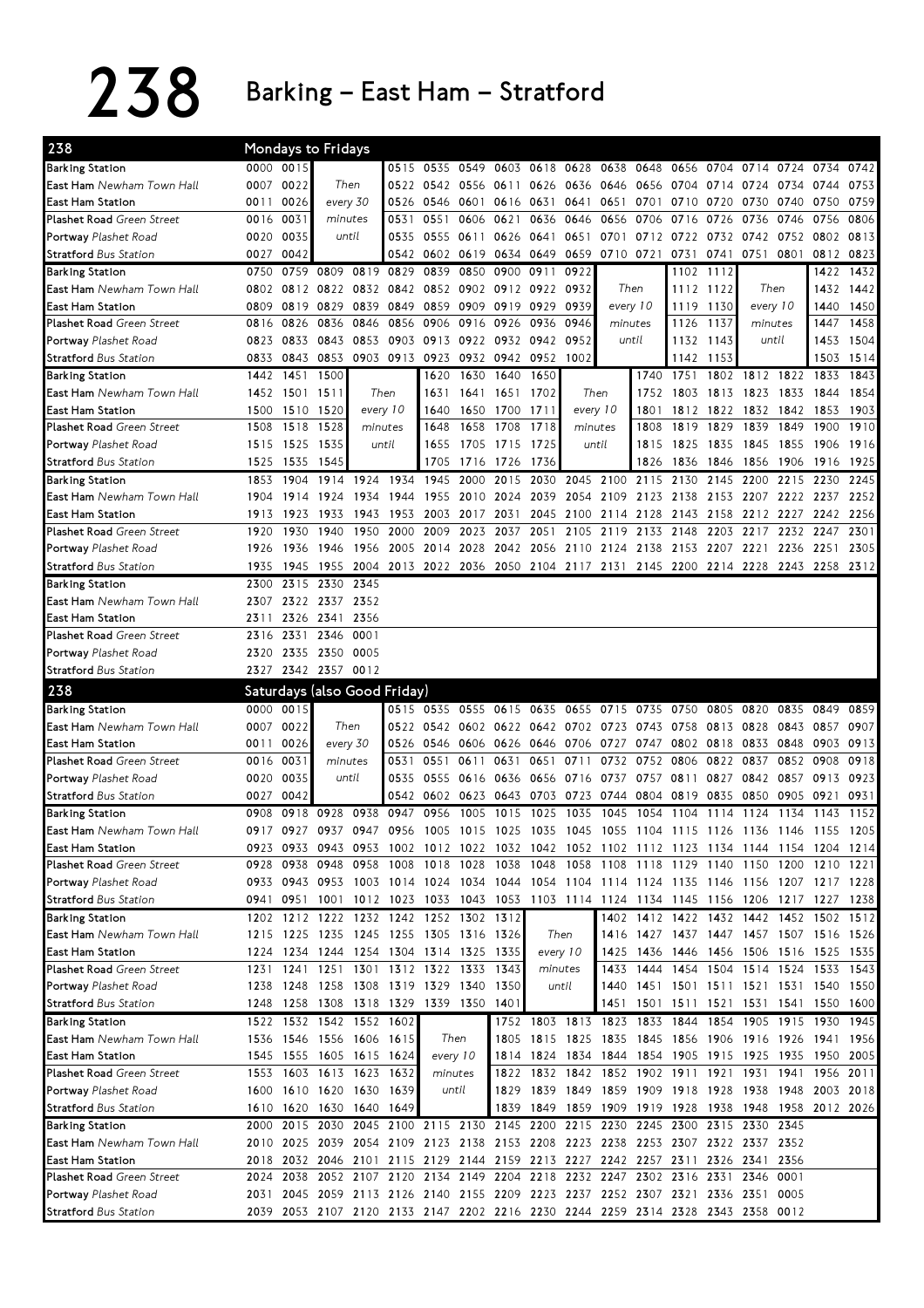238 Barking – East Ham – Stratford

| 238                                           |      |                | Mondays to Fridays       |           |                                                                                 |                |          |                                         |           |           |                          |       |           |           |                                                   |                |                                                                                           |      |
|-----------------------------------------------|------|----------------|--------------------------|-----------|---------------------------------------------------------------------------------|----------------|----------|-----------------------------------------|-----------|-----------|--------------------------|-------|-----------|-----------|---------------------------------------------------|----------------|-------------------------------------------------------------------------------------------|------|
| <b>Barking Station</b>                        |      | 0000 0015      |                          |           | 0515                                                                            |                |          | 0535 0549 0603 0618                     |           | 0628      | 0638                     | 0648  | 0656      | 0704      | 0714                                              | 0724           | 0734                                                                                      | 0742 |
| East Ham Newham Town Hall                     | 0007 | 0022           |                          | Then      |                                                                                 | 0522 0542 0556 |          | 0611 0626                               |           | 0636      | 0646 0656 0704 0714 0724 |       |           |           |                                                   | 0734           | 0744                                                                                      | 0753 |
| <b>East Ham Station</b>                       | 0011 | 0026           |                          | every 30  |                                                                                 | 0526 0546 0601 |          | 0616 0631                               |           |           | 0641 0651                | 0701  | 0710 0720 |           | 0730                                              | 0740           | 0750                                                                                      | 0759 |
| Plashet Road Green Street                     | 0016 | 0031           | minutes                  |           | 0531                                                                            | 0551           | 0606     | 0621                                    | 0636      | 0646      | 0656                     | 0706  | 0716      | 0726      | 0736                                              | 0746           | 0756                                                                                      | 0806 |
| Portway Plashet Road                          | 0020 | 0035           |                          | until     | 0535                                                                            | 0555 0611      |          | 0626 0641                               |           | 0651      |                          |       |           |           | 0701 0712 0722 0732 0742 0752                     |                | 0802 0813                                                                                 |      |
| <b>Stratford</b> Bus Station                  | 0027 | 0042           |                          |           |                                                                                 | 0542 0602 0619 |          | 0634 0649                               |           | 0659      |                          |       |           |           | 0710 0721 0731 0741 0751 0801                     |                | 0812 0823                                                                                 |      |
| <b>Barking Station</b>                        | 0750 | 0759           | 0809                     | 0819      | 0829                                                                            | 0839           | 0850     | 0900                                    | 0911      | 0922      |                          |       |           | 1102 1112 |                                                   |                | 1422                                                                                      | 1432 |
| <b>East Ham</b> Newham Town Hall              | 0802 | 0812           | 0822                     | 0832      | 0842                                                                            | 0852           | 0902     | 0912 0922                               |           | 0932      | Then                     |       | 1112      | 1122      | Then                                              |                | 1432                                                                                      | 1442 |
| <b>East Ham Station</b>                       | 0809 | 0819           | 0829                     | 0839      | 0849                                                                            | 0859           | 0909     | 0919 0929                               |           | 0939      | every 10                 |       | 1119      | 1130      |                                                   | every 10       | 1440                                                                                      | 1450 |
| Plashet Road Green Street                     | 0816 | 0826           | 0836                     | 0846      | 0856                                                                            | 0906           | 0916     | 0926 0936                               |           | 0946      | minutes                  |       | 1126      | 1137      | minutes                                           |                | 1447                                                                                      | 1458 |
| Portway Plashet Road                          | 0823 | 0833           | 0843                     | 0853      |                                                                                 | 0903 0913      | 0922     |                                         | 0932 0942 | 0952      |                          | until | 1132      | 1143      | until                                             |                | 1453                                                                                      | 1504 |
| <b>Stratford Bus Station</b>                  | 0833 | 0843           | 0853                     |           | 0903 0913 0923 0932 0942 0952                                                   |                |          |                                         |           | 1002      |                          |       |           | 1142 1153 |                                                   |                | 1503                                                                                      | 1514 |
| <b>Barking Station</b>                        | 1442 | 1451           | 1500                     |           |                                                                                 | 1620           | 1630     | 1640                                    | 1650      |           |                          | 1740  |           |           | 1751 1802 1812 1822                               |                | 1833                                                                                      | 1843 |
| <b>East Ham</b> Newham Town Hall              |      | 1452 1501 1511 |                          |           | Then                                                                            | 1631           | 1641     | 1651 1702                               |           | Then      |                          | 1752  |           | 1803 1813 | 1823 1833                                         |                | 1844                                                                                      | 1854 |
| <b>East Ham Station</b>                       | 1500 | 1510 1520      |                          |           | every 10                                                                        | 1640           | 1650     | 1700                                    | 1711      | every 10  |                          | 1801  |           | 1812 1822 |                                                   | 1832 1842 1853 |                                                                                           | 1903 |
| <b>Plashet Road Green Street</b>              | 1508 | 1518           | 1528                     |           | minutes                                                                         | 1648           | 1658     | 1708                                    | 1718      | minutes   |                          | 1808  | 1819      | 1829      | 1839                                              | 1849           | 1900                                                                                      | 1910 |
| Portway Plashet Road                          | 1515 | 1525 1535      |                          |           | until                                                                           | 1655           | 1705     | 1715 1725                               |           |           | until                    | 1815  | 1825      | 1835      | 1845                                              | 1855           | 1906                                                                                      | 1916 |
| <b>Stratford Bus Station</b>                  | 1525 | 1535           | 1545                     |           |                                                                                 | 1705           |          | 1716 1726                               | 1736      |           |                          | 1826  | 1836      | 1846      | 1856                                              | 1906           | 1916                                                                                      | 1925 |
| <b>Barking Station</b>                        | 1853 | 1904           | 1914                     | 1924      | 1934                                                                            | 1945           | 2000     | 2015                                    | 2030      |           | 2045 2100                | 2115  | 2130      | 2145      | 2200                                              | 2215           | 2230                                                                                      | 2245 |
| East Ham Newham Town Hall                     | 1904 | 1914           | 1924                     | 1934      | 1944                                                                            | 1955           |          | 2010 2024 2039                          |           |           | 2054 2109                | 2123  | 2138      |           | 2153 2207 2222 2237                               |                |                                                                                           | 2252 |
| East Ham Station                              | 1913 | 1923           | 1933                     | 1943      |                                                                                 | 1953 2003      | 2017     | 2031                                    | 2045      |           | 2100 2114 2128           |       | 2143 2158 |           | 2212 2227                                         |                | 2242 2256                                                                                 |      |
| <b>Plashet Road Green Street</b>              | 1920 | 1930           | 1940                     | 1950      | 2000                                                                            | 2009           | 2023     | 2037                                    | 2051      | 2105      | 2119 2133                |       | 2148      | 2203      | 2217 2232                                         |                | 2247                                                                                      | 2301 |
| Portway Plashet Road                          | 1926 | 1936           | 1946                     | 1956      | 2005                                                                            | 2014           | 2028     | 2042 2056                               |           |           | 2110 2124                | 2138  | 2153      | 2207      | 2221                                              | 2236           | 2251                                                                                      | 2305 |
| <b>Stratford</b> Bus Station                  | 1935 | 1945           | 1955                     | 2004      |                                                                                 | 2013 2022 2036 |          |                                         |           |           |                          |       |           |           |                                                   |                | 2050 2104 2117 2131 2145 2200 2214 2228 2243 2258 2312                                    |      |
| <b>Barking Station</b>                        | 2300 | 2315           | 2330                     | 2345      |                                                                                 |                |          |                                         |           |           |                          |       |           |           |                                                   |                |                                                                                           |      |
| East Ham Newham Town Hall                     | 2307 |                | 2322 2337 2352           |           |                                                                                 |                |          |                                         |           |           |                          |       |           |           |                                                   |                |                                                                                           |      |
| <b>East Ham Station</b>                       | 2311 |                | 2326 2341 2356           |           |                                                                                 |                |          |                                         |           |           |                          |       |           |           |                                                   |                |                                                                                           |      |
| Plashet Road Green Street                     | 2316 | 2331           | 2346 0001                |           |                                                                                 |                |          |                                         |           |           |                          |       |           |           |                                                   |                |                                                                                           |      |
| Portway Plashet Road                          | 2320 |                | 2335 2350 0005           |           |                                                                                 |                |          |                                         |           |           |                          |       |           |           |                                                   |                |                                                                                           |      |
| <b>Stratford Bus Station</b>                  |      |                | 2327 2342 2357 0012      |           |                                                                                 |                |          |                                         |           |           |                          |       |           |           |                                                   |                |                                                                                           |      |
|                                               |      |                |                          |           |                                                                                 |                |          |                                         |           |           |                          |       |           |           |                                                   |                |                                                                                           |      |
|                                               |      |                |                          |           |                                                                                 |                |          |                                         |           |           |                          |       |           |           |                                                   |                |                                                                                           |      |
| 238                                           |      |                |                          |           | Saturdays (also Good Friday)                                                    |                |          |                                         |           |           |                          |       |           |           |                                                   |                |                                                                                           |      |
| <b>Barking Station</b>                        |      | 0000 0015      |                          |           |                                                                                 |                |          | 0515 0535 0555 0615 0635                |           |           | 0655 0715 0735           |       |           | 0750 0805 | 0820                                              | 0835           | 0849                                                                                      | 0859 |
| East Ham Newham Town Hall                     | 0007 | 0022           |                          | Then      |                                                                                 |                |          | 0522 0542 0602 0622 0642 0702 0723 0743 |           |           |                          |       | 0758      | 0813 0828 |                                                   | 0843           | 0857                                                                                      | 0907 |
| East Ham Station                              | 0011 | 0026           |                          | every 30  |                                                                                 | 0526 0546 0606 |          | 0626 0646 0706                          |           |           | 0727 0747                |       |           | 0802 0818 | 0833                                              | 0848           | 0903                                                                                      | 0913 |
| Plashet Road Green Street                     | 0016 | 0031           | minutes                  |           | 0531                                                                            | 0551           | 0611     | 0631                                    | 0651      | 0711      | 0732                     | 0752  | 0806      | 0822      | 0837                                              | 0852           | 0908                                                                                      | 0918 |
| Portway Plashet Road                          | 0020 | 0035           |                          | until     | 0535                                                                            | 0555 0616      |          | 0636 0656                               |           |           | 0716 0737 0757           |       | 0811      | 0827      | 0842                                              |                | 0857 0913                                                                                 | 0923 |
| <b>Stratford Bus Station</b>                  | 0027 | 0042           |                          |           |                                                                                 | 0542 0602 0623 |          |                                         | 0643 0703 |           | 0723 0744 0804           |       | 0819      | 0835      | 0850                                              | 0905           | 0921                                                                                      | 0931 |
| <b>Barking Station</b>                        | 0908 | 0918           | 0928                     | 0938      | 0947                                                                            | 0956           | 1005     |                                         | 1015 1025 | 1035 1045 |                          | 1054  | 1104 1114 |           | 1124                                              | 1134           | 1143                                                                                      | 1152 |
| East Ham Newham Town Hall                     | 0917 | 0927           |                          | 0937 0947 |                                                                                 |                |          |                                         |           |           |                          |       |           |           |                                                   |                | 0956 1005 1015 1025 1035 1045 1055 1104 1115 1126 1136 1146 1155 1205                     |      |
| East Ham Station                              |      |                |                          |           |                                                                                 |                |          |                                         |           |           |                          |       |           |           |                                                   |                | 0923 0933 0943 0953 1002 1012 1022 1032 1042 1052 1102 1112 1123 1134 1144 1154 1204 1214 |      |
| <b>Plashet Road Green Street</b>              | 0928 |                | 0938 0948 0958           |           |                                                                                 | 1008 1018 1028 |          |                                         |           |           |                          |       |           |           |                                                   |                | 1038 1048 1058 1108 1118 1129 1140 1150 1200 1210 1221                                    |      |
| Portway Plashet Road                          |      |                |                          |           |                                                                                 |                |          |                                         |           |           |                          |       |           |           |                                                   |                | 0933 0943 0953 1003 1014 1024 1034 1044 1054 1104 1114 1124 1135 1146 1156 1207 1217 1228 |      |
| <b>Stratford Bus Station</b>                  | 0941 | 0951           | 1001                     |           |                                                                                 |                |          |                                         |           |           |                          |       |           |           |                                                   |                | 1012 1023 1033 1043 1053 1103 1114 1124 1134 1145 1156 1206 1217 1227 1238                |      |
| <b>Barking Station</b>                        | 1202 |                |                          |           | 1212 1222 1232 1242 1252 1302                                                   |                |          | 1312                                    |           |           |                          |       |           |           |                                                   |                | 1402 1412 1422 1432 1442 1452 1502 1512                                                   |      |
| East Ham Newham Town Hall                     |      |                |                          |           | 1215 1225 1235 1245 1255 1305 1316 1326                                         |                |          |                                         |           | Then      |                          |       |           |           |                                                   |                | 1416 1427 1437 1447 1457 1507 1516 1526                                                   |      |
| <b>East Ham Station</b>                       |      |                |                          |           | 1224 1234 1244 1254 1304 1314 1325 1335                                         |                |          |                                         | every 10  |           |                          |       |           |           |                                                   |                | 1425 1436 1446 1456 1506 1516 1525 1535                                                   |      |
| <b>Plashet Road Green Street</b>              | 1231 | 1241           |                          |           | 1251 1301 1312 1322 1333                                                        |                |          | 1343                                    | minutes   |           |                          |       |           |           |                                                   |                | 1433 1444 1454 1504 1514 1524 1533 1543                                                   |      |
| Portway Plashet Road                          | 1238 |                |                          |           | 1248 1258 1308 1319 1329 1340                                                   |                |          | 1350                                    | until     |           |                          |       |           |           |                                                   |                | 1440 1451 1501 1511 1521 1531 1540 1550                                                   |      |
| <b>Stratford Bus Station</b>                  | 1248 |                |                          |           | 1258 1308 1318 1329 1339 1350                                                   |                |          | 1401                                    |           |           |                          |       |           |           |                                                   |                | 1451 1501 1511 1521 1531 1541 1550 1600                                                   |      |
| <b>Barking Station</b>                        |      |                |                          |           | 1522 1532 1542 1552 1602                                                        |                |          |                                         |           |           |                          |       |           |           | 1752 1803 1813 1823 1833 1844 1854 1905 1915 1930 |                |                                                                                           | 1945 |
| East Ham Newham Town Hall                     |      |                |                          |           | 1536 1546 1556 1606 1615                                                        | Then           |          |                                         |           |           |                          |       |           |           | 1805 1815 1825 1835 1845 1856 1906 1916 1926 1941 |                |                                                                                           | 1956 |
| <b>East Ham Station</b>                       |      |                | 1545 1555 1605 1615 1624 |           |                                                                                 |                | every 10 |                                         |           |           |                          |       |           |           |                                                   |                | 1814 1824 1834 1844 1854 1905 1915 1925 1935 1950 2005                                    |      |
| Plashet Road Green Street                     |      |                | 1553 1603 1613 1623 1632 |           |                                                                                 | minutes        |          |                                         |           |           |                          |       |           |           |                                                   |                | 1822 1832 1842 1852 1902 1911 1921 1931 1941 1956 2011                                    |      |
| Portway Plashet Road                          |      |                | 1600 1610 1620 1630      |           | 1639                                                                            | until          |          |                                         | 1829 1839 |           |                          |       |           |           | 1849 1859 1909 1918 1928 1938 1948                |                | 2003 2018                                                                                 |      |
| <b>Stratford Bus Station</b>                  |      |                | 1610 1620 1630 1640 1649 |           |                                                                                 |                |          |                                         | 1839 1849 |           |                          |       |           |           |                                                   |                | 1859 1909 1919 1928 1938 1948 1958 2012 2026                                              |      |
| <b>Barking Station</b>                        |      |                |                          |           | 2000 2015 2030 2045 2100 2115 2130 2145 2200 2215 2230 2245 2300 2315 2330 2345 |                |          |                                         |           |           |                          |       |           |           |                                                   |                |                                                                                           |      |
| East Ham Newham Town Hall                     |      |                |                          |           | 2010 2025 2039 2054 2109 2123 2138 2153 2208 2223 2238 2253 2307 2322 2337 2352 |                |          |                                         |           |           |                          |       |           |           |                                                   |                |                                                                                           |      |
| East Ham Station                              | 2018 |                |                          |           | 2032 2046 2101 2115 2129 2144 2159 2213 2227 2242 2257 2311                     |                |          |                                         |           |           |                          |       |           |           | 2326 2341                                         | 2356           |                                                                                           |      |
| Plashet Road Green Street                     | 2024 |                |                          |           | 2038 2052 2107 2120 2134 2149 2204 2218 2232 2247 2302 2316 2331                |                |          |                                         |           |           |                          |       |           |           | 2346                                              | 0001           |                                                                                           |      |
| Portway Plashet Road<br>Stratford Bus Station |      |                |                          |           | 2031 2045 2059 2113 2126 2140 2155 2209 2223 2237 2252 2307 2321 2336 2351 0005 |                |          |                                         |           |           |                          |       |           |           |                                                   |                |                                                                                           |      |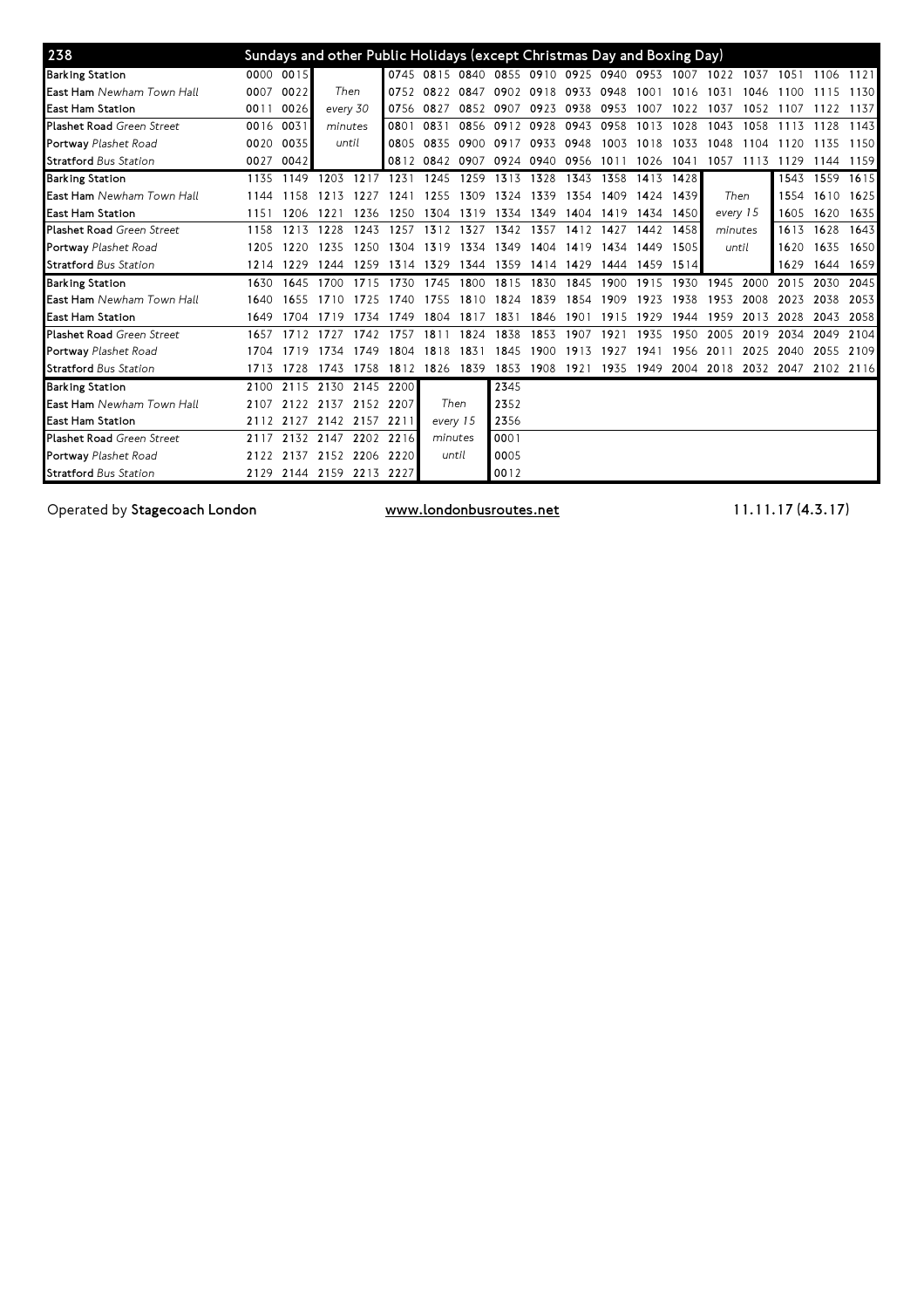| 238                              |      | Sundays and other Public Holidays (except Christmas Day and Boxing Day) |          |                |      |           |      |           |                                         |      |      |      |           |         |                                              |      |           |      |
|----------------------------------|------|-------------------------------------------------------------------------|----------|----------------|------|-----------|------|-----------|-----------------------------------------|------|------|------|-----------|---------|----------------------------------------------|------|-----------|------|
| <b>Barking Station</b>           |      | 0000 0015                                                               |          |                |      |           |      |           | 0745 0815 0840 0855 0910 0925 0940 0953 |      |      |      | 1007 1022 |         | 1037                                         | 1051 | 1106      | 1121 |
| East Ham Newham Town Hall        | 0007 | 0022                                                                    | Then     |                | 0752 | 0822      | 0847 | 0902 0918 |                                         | 0933 | 0948 | 1001 | 1016      | 1031    | 1046                                         |      | .5        | 1130 |
| <b>East Ham Station</b>          | 0011 | 0026                                                                    | every 30 |                | 0756 | 0827      | 0852 | 0907      | 0923                                    | 0938 | 0953 | 1007 | 1022      | 1037    | 1052                                         |      | 1122      | 1137 |
| <b>Plashet Road Green Street</b> | 0016 | 0031                                                                    | minutes  |                | 0801 | 0831      | 0856 | 0912 0928 |                                         | 0943 | 0958 | 1013 | 1028      | 1043    | 1058                                         | 1113 | 1128      | 1143 |
| Portway Plashet Road             | 0020 | 0035                                                                    | until    |                | 0805 | 0835      | 0900 | 0917      | 0933                                    | 0948 | 1003 | 1018 | 1033      | 1048    | 1104                                         | 1120 | 1135      | 1150 |
| <b>Stratford Bus Station</b>     | 0027 | 0042                                                                    |          |                |      | 0812 0842 | 0907 | 0924 0940 |                                         | 0956 | 1011 | 1026 | 1041      | 1057    | 1113                                         | 1129 | 1144      | 1159 |
| <b>Barking Station</b>           | 1135 | 1149                                                                    | 1203     | 1217           | 1231 | 1245      | 1259 | 1313      | 1328                                    | 1343 | 1358 | 1413 | 1428      |         |                                              |      | 1543 1559 | 1615 |
| East Ham Newham Town Hall        | 1144 | 1158                                                                    | 121<br>3 |                | 1241 | 1255      | 1309 | 1324      | 1339                                    | 1354 | 1409 | 1424 | 1439      |         | Then                                         | 1554 | 1610      | 1625 |
| <b>East Ham Station</b>          | 1151 | 1206                                                                    | 1221     | 1236           | 1250 | 1304      | 1319 | 1334      | 1349                                    | 1404 | 1419 | 1434 | 1450      |         | every 15                                     | 1605 | 1620      | 1635 |
| <b>Plashet Road Green Street</b> | 1158 | 1213                                                                    | 1228     | 1243           | 1257 | 1312      | 1327 | 1342      | 1357                                    | 1412 | 1427 | 1442 | 1458      | minutes |                                              | 1613 | 1628      | 1643 |
| Portway Plashet Road             | 1205 | 1220                                                                    | 1235     | 1250           | 1304 | 1319      | 1334 | 1349      | 1404                                    | 1419 | 1434 | 1449 | 1505      |         | until                                        | 1620 | 1635      | 1650 |
| <b>Stratford Bus Station</b>     | 1214 | 1229                                                                    | 1244     | 1259           | 1314 | 1329      | 1344 | 1359      | 1414                                    | 1429 | 1444 | 1459 | 1514      |         |                                              | 1629 | 1644      | 1659 |
| <b>Barking Station</b>           | 1630 | 1645                                                                    | 1700     | 1715           | 1730 | 1745      | 1800 | 1815      | 1830                                    | 1845 | 1900 | 1915 | 1930      | 1945    | 2000                                         | 2015 | 2030      | 2045 |
| East Ham Newham Town Hall        | 1640 | 1655                                                                    | 1710     |                | 1740 | 1755      | 1810 | 1824      | 1839                                    | 1854 | 1909 | 1923 | 1938      | 1953    | 2008                                         | 2023 | 2038      | 2053 |
| <b>East Ham Station</b>          | 1649 | 1704                                                                    | 1719     | 1734           | 1749 | 1804      | 1817 | 1831      | 1846                                    | 1901 | 1915 | 1929 | 1944      | 1959    | 2013                                         | 2028 | 2043      | 2058 |
| <b>Plashet Road Green Street</b> | 1657 | 1712                                                                    | 1727     | 1742           | 1757 | 181       | 1824 | 1838      | 1853                                    | 1907 | 1921 | 1935 | 1950      | 2005    | 2019                                         | 2034 | 2049      | 2104 |
| Portway Plashet Road             | 1704 | 1719                                                                    | 1734     | 1749           | 1804 | 1818      | 1831 | 1845      | 1900                                    | 1913 | 1927 | 1941 | 1956      | 2011    | 2025                                         | 2040 | 2055      | 2109 |
| <b>Stratford Bus Station</b>     |      | 1713 1728                                                               | 1743     | 1758           | 1812 | 1826      | 1839 | 1853      | 1908                                    |      |      |      |           |         | 1921 1935 1949 2004 2018 2032 2047 2102 2116 |      |           |      |
| <b>Barking Station</b>           | 2100 | 2115                                                                    | 2130     | 2145           | 2200 |           |      | 2345      |                                         |      |      |      |           |         |                                              |      |           |      |
| East Ham Newham Town Hall        | 2107 | 2122                                                                    | 2137     | 2152           | 2207 | Then      |      | 2352      |                                         |      |      |      |           |         |                                              |      |           |      |
| <b>East Ham Station</b>          | 2112 | 2127                                                                    | 2142     | 2157           | 2211 | every 15  |      | 2356      |                                         |      |      |      |           |         |                                              |      |           |      |
| <b>Plashet Road Green Street</b> | 2117 | 2132                                                                    |          | 2147 2202      | 2216 | minutes   |      | 0001      |                                         |      |      |      |           |         |                                              |      |           |      |
| Portway Plashet Road             | 2122 | 2137                                                                    |          | 2152 2206 2220 |      | until     |      | 0005      |                                         |      |      |      |           |         |                                              |      |           |      |
| <b>Stratford Bus Station</b>     | 2129 | 2144                                                                    |          | 2159 2213 2227 |      |           |      | 0012      |                                         |      |      |      |           |         |                                              |      |           |      |

Operated by Stagecoach London www.londonbusroutes.net 11.11.17 (4.3.17)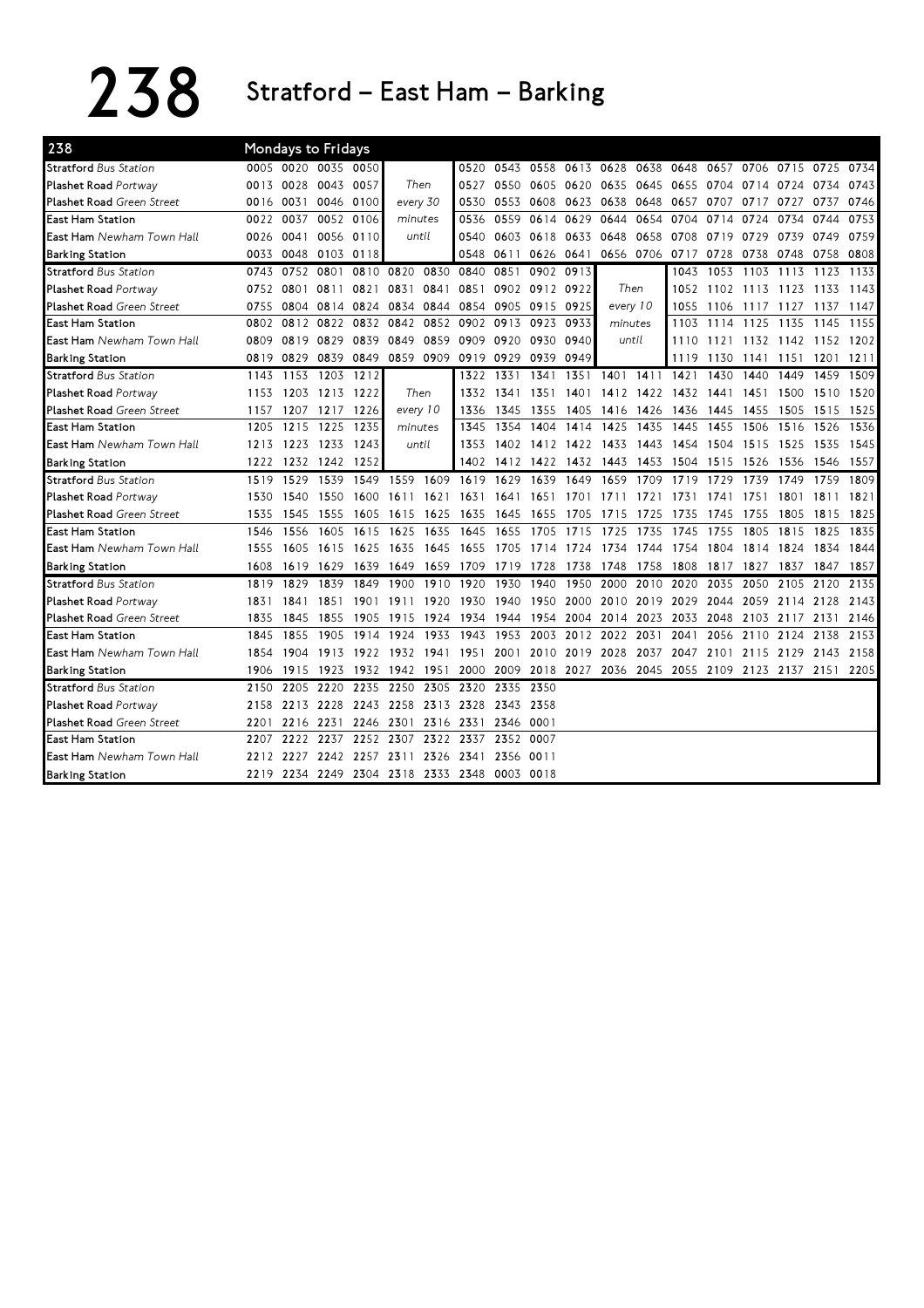## 238 Stratford – East Ham – Barking

| 238                              |      |           | <b>Mondays to Fridays</b> |                               |         |           |                          |                          |                |      |                |           |                     |           |                     |      |           |      |
|----------------------------------|------|-----------|---------------------------|-------------------------------|---------|-----------|--------------------------|--------------------------|----------------|------|----------------|-----------|---------------------|-----------|---------------------|------|-----------|------|
| <b>Stratford Bus Station</b>     |      |           | 0005 0020 0035 0050       |                               |         |           |                          | 0520 0543 0558 0613 0628 |                |      |                |           | 0638 0648           | 0657      | 0706 0715           |      | 0725      | 0734 |
| Plashet Road Portway             | 0013 | 0028      | 0043 0057                 |                               |         | Then      | 0527                     |                          | 0550 0605 0620 |      | 0635           | 0645      | 0655                |           | 0704 0714 0724      |      | 0734      | 0743 |
| <b>Plashet Road Green Street</b> | 0016 | 0031      | 0046 0100                 |                               |         | every 30  | 0530                     |                          | 0553 0608      | 0623 | 0638 0648      |           |                     |           | 0657 0707 0717 0727 |      | 0737      | 0746 |
| East Ham Station                 | 0022 | 0037      |                           | 0052 0106                     | minutes |           | 0536                     | 0559                     | 0614           | 0629 | 0644           | 0654      | 0704                | 0714      | 0724                | 0734 | 0744      | 0753 |
| <b>East Ham</b> Newham Town Hall | 0026 | 0041      | 0056 0110                 |                               | until   |           | 0540                     |                          | 0603 0618      | 0633 | 0648           | 0658      | 0708                | 0719      | 0729                | 0739 | 0749      | 0759 |
| <b>Barking Station</b>           | 0033 | 0048      | 0103 0118                 |                               |         |           | 0548                     | 0611                     | 0626 0641      |      |                |           | 0656 0706 0717 0728 |           | 0738 0748           |      | 0758      | 0808 |
| <b>Stratford Bus Station</b>     | 0743 | 0752 0801 |                           | 0810                          | 0820    | 0830      | 0840                     | 0851                     | 0902 0913      |      |                |           | 1043                | 1053      | 1103 1113           |      | 1123      | 1133 |
| Plashet Road Portway             |      | 0752 0801 | 0811                      | 0821                          | 0831    | 0841      | 0851                     |                          | 0902 0912 0922 |      | Then           |           | 1052                |           | 1102 1113 1123      |      | 1133 1143 |      |
| <b>Plashet Road Green Street</b> | 0755 | 0804      | 0814                      | 0824                          |         | 0834 0844 | 0854                     |                          | 0905 0915 0925 |      | every 10       |           | 1055                | 1106      | 1117 1127           |      | 1137 1147 |      |
| East Ham Station                 | 0802 | 0812 0822 |                           | 0832                          |         | 0842 0852 | 0902                     | 0913 0923                |                | 0933 | minutes        |           | 1103                |           | 1114 1125 1135      |      | 1145      | 1155 |
| <b>East Ham</b> Newham Town Hall | 0809 | 0819      | 0829                      | 0839                          | 0849    | 0859      | 0909                     | 0920                     | 0930           | 0940 | until          |           | 1110                | 1121      | 1132 1142 1152 1202 |      |           |      |
| <b>Barking Station</b>           | 0819 | 0829      | 0839 0849                 |                               |         |           | 0859 0909 0919 0929 0939 |                          |                | 0949 |                |           | 1119                | 1130      | 1141 1151           |      | 1201      | 1211 |
| <b>Stratford Bus Station</b>     | 1143 | 1153      | 1203 1212                 |                               |         |           | 1322                     | 1331                     | 1341           |      | 1351 1401 1411 |           | 1421                | 1430      | 1440                | 1449 | 1459      | 1509 |
| Plashet Road Portway             | 1153 | 1203      | 1213 1222                 |                               |         | Then      | 1332                     |                          | 1341 1351      | 1401 |                | 1412 1422 |                     | 1432 1441 | 1451                | 1500 | 1510      | 1520 |
| <b>Plashet Road Green Street</b> | 1157 | 1207      | 1217 1226                 |                               |         | every 10  | 1336                     | 1345                     | 1355           | 1405 |                | 1416 1426 | 1436                | 1445      | 1455                | 1505 | 1515      | 1525 |
| East Ham Station                 | 1205 | 1215      | 1225                      | 1235                          |         | minutes   | 1345                     | 1354                     | 1404           | 1414 | 1425           | 1435      | 1445                | 1455      | 1506                | 1516 | 1526      | 1536 |
| <b>East Ham</b> Newham Town Hall | 1213 | 1223      | 1233                      | 1243                          |         | until     | 1353                     |                          | 1402 1412      |      | 1422 1433      | 1443      | 1454                |           | 1504 1515           | 1525 | 1535      | 1545 |
| <b>Barking Station</b>           | 1222 | 1232      | 1242 1252                 |                               |         |           | 1402                     |                          | 1412 1422      |      | 1432 1443      | 1453      | 1504                | 1515      | 1526                | 1536 | 1546      | 1557 |
| <b>Stratford Bus Station</b>     | 1519 | 1529      | 1539                      | 1549                          |         | 1559 1609 | 1619                     | 1629                     | 1639           | 1649 | 1659           | 1709      | 1719                | 1729      | 1739                | 1749 | 1759      | 1809 |
| Plashet Road Portway             | 1530 | 1540      | 1550                      | 1600                          | 1611    | 1621      | 1631                     | 1641                     | 1651           | 1701 | 1711           | 1721      | 1731                | 1741      | 1751                | 1801 | 1811      | 1821 |
| <b>Plashet Road Green Street</b> | 1535 | 1545      | 1555                      | 1605                          | 1615    | 1625      | 1635                     | 1645                     | 1655           | 1705 | 1715           | 1725      | 1735                | 1745      | 1755                | 1805 | 1815      | 1825 |
| East Ham Station                 | 1546 | 1556      | 1605                      | 1615                          | 1625    | 1635      | 1645                     | 1655                     | 1705           | 1715 | 1725           | 1735      | 1745                | 1755      | 1805                | 1815 | 1825      | 1835 |
| East Ham Newham Town Hall        | 1555 | 1605      | 1615                      | 1625                          | 1635    | 1645      | 1655                     | 1705                     | 1714           | 1724 | 1734           | 1744      | 1754                | 1804      | 1814                | 1824 | 1834      | 1844 |
| <b>Barking Station</b>           | 1608 | 1619      | 1629                      | 1639                          | 1649    | 1659      | 1709                     | 1719                     | 1728           | 1738 | 1748           | 1758      | 1808                | 1817      | 1827                | 1837 | 1847      | 1857 |
| <b>Stratford Bus Station</b>     | 1819 | 1829      | 1839                      | 1849                          | 1900    | 1910      | 1920                     | 1930                     | 1940           | 1950 | 2000           | 2010      | 2020                | 2035      | 2050                | 2105 | 2120      | 2135 |
| Plashet Road Portway             | 1831 | 1841      | 1851                      | 1901                          | 1911    | 1920      | 1930                     | 1940                     | 1950           | 2000 | 2010 2019      |           | 2029                | 2044      | 2059                | 2114 | 2128      | 2143 |
| <b>Plashet Road Green Street</b> | 1835 | 1845      | 1855                      | 1905                          | 1915    | 1924      | 1934                     |                          | 1944 1954      | 2004 | 2014 2023      |           | 2033                | 2048      | 2103                | 2117 | 2131      | 2146 |
| <b>East Ham Station</b>          | 1845 | 1855      | 1905                      | 1914                          | 1924    | 1933      | 1943                     |                          | 1953 2003      |      | 2012 2022      | 2031      | 2041                | 2056      | 2110 2124           |      | 2138      | 2153 |
| <b>East Ham</b> Newham Town Hall | 1854 | 1904      | 1913                      | 1922                          |         | 1932 1941 | 1951                     |                          | 2001 2010      |      | 2019 2028      | 2037      | 2047                | 2101      | 2115 2129           |      | 2143      | 2158 |
| <b>Barking Station</b>           | 1906 | 1915      | 1923                      | 1932                          |         | 1942 1951 | 2000                     |                          | 2009 2018      | 2027 |                | 2036 2045 | 2055                | 2109      | 2123 2137           |      | 2151      | 2205 |
| <b>Stratford</b> Bus Station     | 2150 | 2205      | 2220                      | 2235                          | 2250    | 2305      | 2320                     | 2335 2350                |                |      |                |           |                     |           |                     |      |           |      |
| Plashet Road Portway             | 2158 | 2213 2228 |                           | 2243                          | 2258    | 2313      | 2328                     | 2343 2358                |                |      |                |           |                     |           |                     |      |           |      |
| <b>Plashet Road Green Street</b> | 2201 | 2216 2231 |                           | 2246                          |         | 2301 2316 | 2331                     | 2346 0001                |                |      |                |           |                     |           |                     |      |           |      |
| <b>East Ham Station</b>          | 2207 |           |                           | 2222 2237 2252                | 2307    | 2322      | 2337                     | 2352 0007                |                |      |                |           |                     |           |                     |      |           |      |
| <b>East Ham</b> Newham Town Hall | 2212 | 2227      | 2242 2257                 |                               | 2311    | 2326      | 2341                     | 2356 0011                |                |      |                |           |                     |           |                     |      |           |      |
| <b>Barking Station</b>           |      |           |                           | 2219 2234 2249 2304 2318 2333 |         |           | 2348                     | 0003 0018                |                |      |                |           |                     |           |                     |      |           |      |